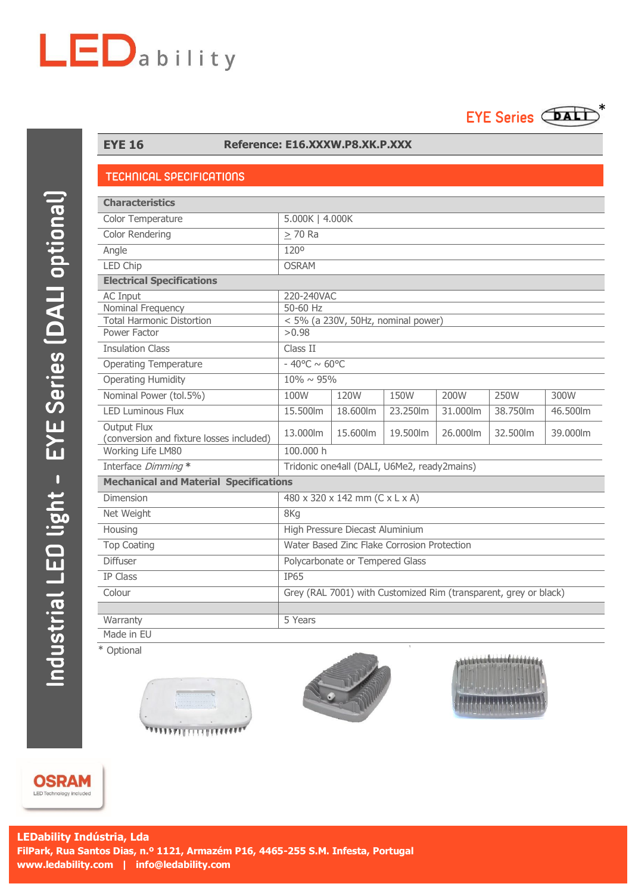## $LED$ ability



## **EYE 16 Reference: E16.XXXW.P8.XK.P.XXX**

## **TECHNICAL SPECIFICATIONS**

| <b>Characteristics</b>                                         |                                                                  |          |          |                        |          |          |
|----------------------------------------------------------------|------------------------------------------------------------------|----------|----------|------------------------|----------|----------|
| Color Temperature                                              | 5.000K   4.000K                                                  |          |          |                        |          |          |
| Color Rendering                                                | $>$ 70 Ra                                                        |          |          |                        |          |          |
| Angle                                                          | 120°                                                             |          |          |                        |          |          |
| <b>LED Chip</b>                                                | <b>OSRAM</b>                                                     |          |          |                        |          |          |
| <b>Electrical Specifications</b>                               |                                                                  |          |          |                        |          |          |
| <b>AC Input</b>                                                | 220-240VAC                                                       |          |          |                        |          |          |
| Nominal Frequency                                              | 50-60 Hz                                                         |          |          |                        |          |          |
| <b>Total Harmonic Distortion</b>                               | $<$ 5% (a 230V, 50Hz, nominal power)                             |          |          |                        |          |          |
| Power Factor                                                   | >0.98                                                            |          |          |                        |          |          |
| <b>Insulation Class</b>                                        | Class II                                                         |          |          |                        |          |          |
| <b>Operating Temperature</b>                                   | $-40^{\circ}$ C ~ 60°C                                           |          |          |                        |          |          |
| <b>Operating Humidity</b>                                      | $10\% \sim 95\%$                                                 |          |          |                        |          |          |
| Nominal Power (tol.5%)                                         | 100W                                                             | 120W     | 150W     | 200W                   | 250W     | 300W     |
| <b>LED Luminous Flux</b>                                       | 15.500lm                                                         | 18.600lm | 23.250lm | $\overline{3}1.000$ lm | 38.750lm | 46.500lm |
| <b>Output Flux</b><br>(conversion and fixture losses included) | 13,000lm                                                         | 15.600lm | 19.500lm | 26,000lm               | 32,500lm | 39.000lm |
| Working Life LM80                                              | 100,000 h                                                        |          |          |                        |          |          |
| Interface Dimming *                                            | Tridonic one4all (DALI, U6Me2, ready2mains)                      |          |          |                        |          |          |
| <b>Mechanical and Material Specifications</b>                  |                                                                  |          |          |                        |          |          |
| Dimension                                                      | 480 x 320 x 142 mm (C x L x A)                                   |          |          |                        |          |          |
| Net Weight                                                     | 8Kg                                                              |          |          |                        |          |          |
| Housing                                                        | High Pressure Diecast Aluminium                                  |          |          |                        |          |          |
| <b>Top Coating</b>                                             | Water Based Zinc Flake Corrosion Protection                      |          |          |                        |          |          |
| <b>Diffuser</b>                                                | Polycarbonate or Tempered Glass                                  |          |          |                        |          |          |
| IP Class                                                       | <b>IP65</b>                                                      |          |          |                        |          |          |
| Colour                                                         | Grey (RAL 7001) with Customized Rim (transparent, grey or black) |          |          |                        |          |          |
|                                                                |                                                                  |          |          |                        |          |          |
| Warranty                                                       | 5 Years                                                          |          |          |                        |          |          |
| Made in EU                                                     |                                                                  |          |          |                        |          |          |

\* Optional







**OSRAM** LED Technology included